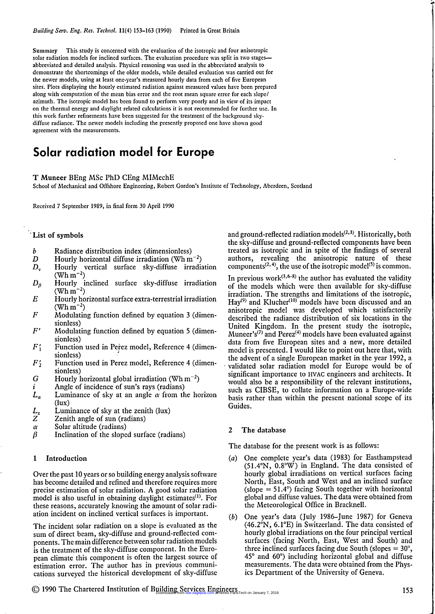Summary This study is concerned with the evaluation of the isotropic and four anisotropic solar radiation models for inclined surfaces. The evaluation procedure was split in two stages abbreviated and detailed analysis. Physical reasoning was used in the abbreviated analysis to demonstrate the shortcomings of the older models, while detailed evaluation was carried out for the newer models, using at least one-year's measured hourly data from each of five European sites. Plots displaying the hourly estimated radiation against measured values have been prepared along with computation of the mean bias error and the root mean square error for each slope/ azimuth. The isotropic model has been found to perform very poorly and in view of its impact on the thermal energy and daylight related calculations it is not recommended for further use. In this work further refinements have been suggested for the treatment of the background skydiffuse radiance. The newer models including the presently proposed one have shown good agreement with the measurements.

# Solar radiation model for Europe

#### T Muneer BEng MSc PhD CEng MIMechE

School of Mechanical and Offshore Engineering, Robert Gordon's Institute of Technology, Aberdeen, Scotland

Received 7 September 1989, in final form 30 April 1990

## List of symbols

- b Radiance distribution index (dimensionless)
- D Hourly horizontal diffuse irradiation (Wh  $m^{-2}$ )
- $D_{v}$  Hourly vertical surface sky-diffuse irradiation  $(Wh m^{-2})$
- $D_8$  Hourly inclined surface sky-diffuse irradiation (Wh $\rm \,m^{-2}$ )
- $E$  Hourly horizontal surface extra-terrestrial irradiation  $(\text{Wh m}^{-2})$
- $F$  Modulating function defined by equation 3 (dimensionless)
- $F'$  Modulating function defined by equation 5 (dimensionless)
- $F'_1$  Function used in Perez model, Reference 4 (dimensionless)
- $F_2'$  Function used in Perez model, Reference 4 (dimensionless)
- G Hourly horizontal global irradiation (Wh  $m^{-2}$ )
- $i$  Angle of incidence of sun's rays (radians)
- $L_{\alpha}$  Luminance of sky at an angle  $\alpha$  from the horizon (lux)
- $L<sub>z</sub>$  Luminance of sky at the zenith (lux)
- $Z^{\sim}$  Zenith angle of sun (radians)
- $\alpha$  Solar altitude (radians)
- $\beta$  Inclination of the sloped surface (radians)

## 1 Introduction

Over the past 10 years or so building energy analysis software Over the past to years of so bunding energy analysis software nas become detailed and refined and therefore requires more<br>precise estimation of solar radiation. A good solar radiation precise estimation of solar radiation. A good solar radiation model is also useful in obtaining daylight estimates<sup> $(1)$ </sup>. For these reasons, accurately knowing the amount of solar radithese reasons, accurately knowing the amount of solar re-

The incident solar radiation on a slope is evaluated as the sum of direct beam, sky-diffuse and ground-reflected comsum of difect beam, sky-diffuse and ground-fenected components. I he main difference between solar radiation moder is the treatment of the sky-diffuse component. In the European climate this component is often the largest source of estimation error. The author has in previous communications surveyed the historical development of sky-diffuse

and ground-reflected radiation models $(2,3)$ . Historically, both the sky-diffuse and ground-reflected components have been treated as isotropic and in spite of the findings of several authors, revealing the anisotropic nature of these components<sup> $(2, 4)$ </sup>, the use of the isotropic model<sup>(5)</sup> is common.

In previous work $(3,6-8)$  the author has evaluated the validity of the models which were then available for sky-diffuse irradiation. The strengths and limitations of the isotropic, Hay<sup>(9)</sup> and Klucher<sup>(10)</sup> models have been discussed and an anisotropic model was developed which satisfactorily described the radiance distribution of six locations in the United Kingdom. In the present study the isotropic, Muneer's<sup>(7)</sup> and Perez<sup>(4)</sup> models have been evaluated against data from five European sites and a new, more detailed model is presented. I would like to point out here that, with the advent of a single European market in the year 1992, a validated solar radiation model for Europe would be of significant importance to HVAC engineers and architects. It would also be a responsibility of the relevant institutions, such as CIBSE, to collate information on a Europe-wide basis rather than within the present national scope of its Guides.

# 2 The database

The database for the present work is as follows:

- (a) One complete year's data (1983) for Easthampstead  $(51.4°N, 0.8°W)$  in England. The data consisted of hourly global irradiations on vertical surfaces facing North, East, South and West and an inclined surface North, East, South and West and an inclined surface  $\frac{1}{4}$  facing South together with horizontal  $(slope = 51.4^{\circ})$  facing South together with horizontal global and diffuse values. The data were obtained from the Meteorological Office in Bracknell.
- (b) One year's data (July 1986-June 1987) for Geneva (46.2°N, 6.1'E) in Switzerland. The data consisted of hourly global irradiations on the four principal vertical nourly grooan madiations on the four principal vertice<br>surfaces (facing North, East, West and South) and three inclined surfaces facing due South (slopes  $= 30^{\circ}$ ,  $45^{\circ}$  and  $60^{\circ}$ ) including horizontal global and diffuse measurements. The data were obtained from the Physics Department of the University of Geneva.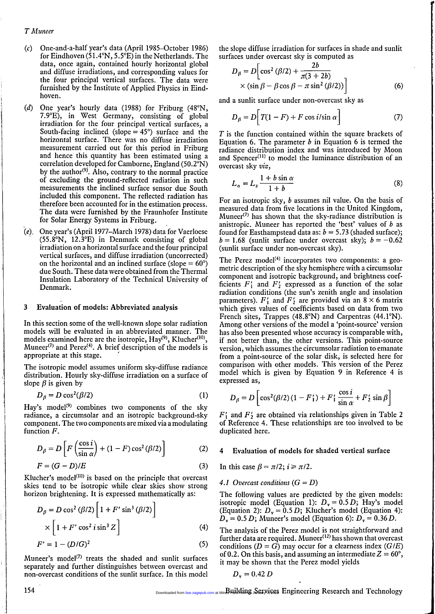# T Muneer

- (c) One-and-a-half year's data (April 1985-October 1986) for Eindhoven (51.4°N, 5.5°E) in the Netherlands. The data, once again, contained hourly horizontal global and diffuse irradiations, and corresponding values for the four principal vertical surfaces. The data were furnished by the Institute of Applied Physics in Eindhoven.
- (d) One year's hourly data (1988) for Friburg (48°N, 7.9°E), in West Germany, consisting of global irradiation for the four principal vertical surfaces, a South-facing inclined (slope  $= 45^{\circ}$ ) surface and the horizontal surface. There was no diffuse irradiation measurement carried out for this period in Friburg and hence this quantity has been estimated using a correlation developed for Camborne, England (50.2 $\rm \bar{P}N$ ) by the author<sup>(9)</sup>. Also, contrary to the normal practice of excluding the ground-reflected radiation in such measurements the inclined surface sensor due South included this component. The reflected radiation has therefore been accounted for in the estimation process. The data were furnished by the Fraunhofer Institute for Solar Energy Systems in Friburg.
- (e), One year's (April 1977-March 1978) data for Vaerloese ' (55.8°N, 12.3°E) in Denmark consisting of global irradiation on a horizontal surface and the four principal vertical surfaces, and diffuse irradiation (uncorrected) on the horizontal and an inclined surface (slope = 60°) due South. These data were obtained from the Thermal Insulation Laboratory of the Technical University of Denmark.

### 3 Evaluation of models: Abbreviated analysis

In this section some of the well-known slope solar radiation models will be evaluated in an abbreviated manner. The models examined here are the isotropic,  $\text{Hay}^{(9)}$ , Klucher<sup>(10)</sup>, Muneer<sup>(7)</sup> and Perez<sup>(4)</sup>. A brief description of the models is appropriate at this stage.

The isotropic model assumes uniform sky-diffuse radiance distribution. Hourly sky-diffuse irradiation on a surface of slope  $\beta$  is given by

$$
D_{\beta} = D \cos^2(\beta/2) \tag{1}
$$

Hay's model<sup>(9)</sup> combines two components of the sky radiance, a circumsolar and an isotropic background-sky component. The two components are mixed via a modulating function  $F$ .

$$
D_{\beta} = D\left[F\left(\frac{\cos i}{\sin \alpha}\right) + (1 - F)\cos^2(\beta/2)\right]
$$
 (2)

$$
F = (G - D)/E \tag{3}
$$

Klucher's model $(10)$  is based on the principle that overcast skies tend to be isotropic while clear skies show strong horizon brightening. It is expressed mathematically as:

$$
D_{\beta} = D \cos^2 (\beta/2) \left[ 1 + F' \sin^3 (\beta/2) \right]
$$
  
 
$$
\times \left[ 1 + F' \cos^2 i \sin^3 Z \right]
$$
 (4)  

$$
F' = 1 - (D/G)^2
$$
 (5)

$$
F'=1-(D/G)^2
$$

Muneer's model<sup>(7)</sup> treats the shaded and sunlit surfaces separately and further distinguishes between overcast and separately and further distinguishes between overcast and

the slope diffuse irradiation for surfaces in shade and sunlit surfaces under overcast sky is computed as

$$
D_{\beta} = D \left[ \cos^2 (\beta/2) + \frac{2b}{\pi (3 + 2b)} \times (\sin \beta - \beta \cos \beta - \pi \sin^2 (\beta/2)) \right]
$$
 (6)

and a sunlit surface under non-overcast sky as

$$
D_{\beta} = D\bigg[T(1 - F) + F\cos i/\sin\alpha\bigg] \tag{7}
$$

 $T$  is the function contained within the square brackets of Equation 6. The parameter  $b$  in Equation 6 is termed the radiance distribution index and was introduced by Moon and Spencer $(11)$  to model the luminance distribution of an overcast sky viz,

$$
L_{\alpha} = L_z \frac{1 + b \sin \alpha}{1 + b} \tag{8}
$$

For an isotropic sky, b assumes nil value. On the basis of measured data from five locations in the United Kingdom, Muneer<sup>(7)</sup> has shown that the sky-radiance distribution is anistropic. Muneer has reported the 'best' values of  $b$  as found for Easthampstead data as:  $b = 5.73$  (shaded surface);  $b = 1.68$  (sunlit surface under overcast sky);  $b = -0.62$ (sunlit surface under non-overcast sky).

The Perez model $(4)$  incorporates two components: a geometric description of the sky hemisphere with a circumsolar component and isotropic background, and brightness coefficients  $F'_1$  and  $F'_2$  expressed as a function of the solar radiation conditions (the sun's zenith angle and insolation parameters).  $F'_1$  and  $F'_2$  are provided via an  $8 \times 6$  matrix which gives values of coefficients based on data from two French sites, Trappes (48.8°N) and Carpentras (44.1°N). Among other versions of the model a 'point-source' version has also been presented whose accuracy is comparable with, if not better than, the other versions. This point-source version, which assumes the circumsolar radiation to emanate from a point-source of the solar disk, is selected here for comparison with other models. This version of the Perez model which is given by Equation 9 in Reference 4 is expressed as,  $\frac{1}{s}$ ,  $\frac{1}{s}$ 

$$
D_{\beta} = D \left[ \cos^2(\beta/2) (1 - F_1') + F_1' \frac{\cos i}{\sin \alpha} + F_2' \sin \beta \right]
$$

 $F'_1$  and  $F'_2$  are obtained via relationships given in Table 2 of Reference 4. These relationships are too involved to be duplicated here.

#### 4 Evaluation of models for shaded vertical surface

In this case  $\beta = \pi/2$ ;  $i \ge \pi/2$ .

#### 4.1 Overcast conditions  $(G = D)$

The following values are predicted by the given models: isotropic model (Equation 1):  $D_v = 0.5 D$ ; Hay's model (Equation 2):  $D_y = 0.5 D$ ; Klucher's model (Equation 4):  $D_y = 0.5 D$ ; Klucher's model (Equation 6):  $D_y = 0.36 D$ .

The analysis of the Perez model is not straightforward and The analysis of the Fetez model is not straightforward and<br>further data are required. Muneer<sup>(12)</sup> has shown that overcast<br>and distinct  $(D - C)$  may occur for a clearness index (GIE) conditions  $(D = G)$  may occur for a clearness index  $(G/E)$ of 0.2. On this basis, and assuming an intermediate  $Z = 60^{\circ}$ , it may be shown that the Perez model yields

$$
D_{\rm v}=0.42\ D
$$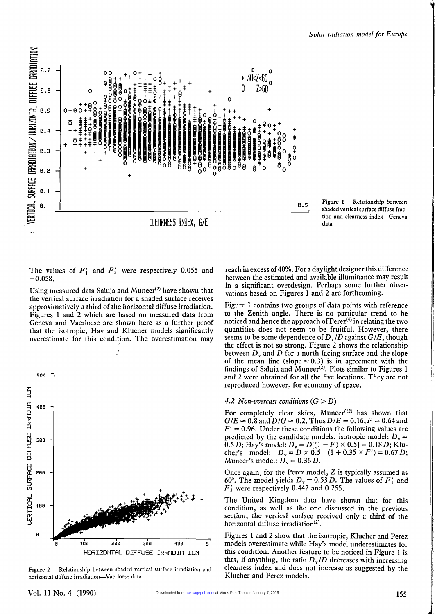





The values of  $F'_1$  and  $F'_2$  were respectively 0.055 and  $-0.058.$ 

Using measured data Saluja and Muneer $(2)$  have shown that the vertical surface irradiation for a shaded surface receives approximatively a third of the horizontal diffuse irradiation. Figures 1 and 2 which are based on measured data from Geneva and Vaerloese are shown here as a further proof that the isotropic, Hay and Klucher models significantly overestimate for this condition. The overestimation may



Figure  $2$  Relationship between shaded ve

reach in excess of 40%. For a daylight designer this difference between the estimated and available illuminance may result in a significant overdesign. Perhaps some further observations based on Figures 1 and 2 are forthcoming.

Figure 1 contains two groups of data points with reference to the Zenith angle. There is no particular trend to be noticed and hence the approach of  $Perez^{(4)}$  in relating the two quantities does not seem to be fruitful. However, there seems to be some dependence of  $D_{\nu}/D$  against  $G/E$ , though the effect is not so strong. Figure 2 shows the relationship between  $D<sub>v</sub>$  and  $D$  for a north facing surface and the slope octivity and B for a nottri facing surface and the stop<br>of the mean line (slope  $\approx 0.3$ ) is in agreement with the findings of Saluja and Muneer<sup>(2)</sup>. Plots similar to Figures and 2 were obtained for all the five locations. They are not reproduced however, for economy of space.

## 4.2 Non-overcast conditions  $(G > D)$

For completely clear skies, Muneer<sup>(12)</sup> has shown that  $G/E \approx 0.8$  and  $D/G \approx 0.2$ . Thus  $D/E = 0.16$ ,  $F = 0.64$  and  $G/E \approx 0.8$  and  $D/G \approx 0.2$ . Thus  $D/E = 0.16$ ,  $F = 0.64$  and  $F' = 0.96$ . Under these conditions the following values are predicted by the candidate models: isotropic model:  $D_v$  is 0.5 D; Hay's model:  $D = D[(1 - F) \times 0.5] = 0.18 D$ ; Klu-0.5 D; Hay's model:  $D_y = D[(1 - F) \times 0.5] = 0.18 D$ ; Kh cher's model:  $D_v = D \times 0$ .<br>Muneer's model:  $D_v = 0.36$  F.

 $\overline{O}$ nee again, for the Perez model,  $\overline{Z}$  is typically assumed as Once again, for the Perez model, Z is typically assumed a<br>60°. The model yields  $D_1 = 0.53 D$ . The values of F' and 60°. The model yields  $D_v = 0.53 D$ . The values of  $F'_1$  and  $F'_2$  were respectively 0.442 and 0.255.

The United Kingdom data have shown that for this condition, as well as the one discussed in the previous section, the vertical surface received only a third of the bechon, the vertical surface horizontal diffuse irradiation<sup>(2)</sup>.<br>Figures 1 and 2 show that the isotropic, Klucher and Perez

Figures 1 and 2 show that the isotropic, Niucher and Pere models overestimate while may s model underestimates to<br>this condition. Another feature to be noticed in Figure 1. this condition. Another feature to be noticed in Figure 1 is that, if anything, the ratio  $D_v/D$  decreases with increasing clearness index and does not increase as suggested by the Klucher and Perez models.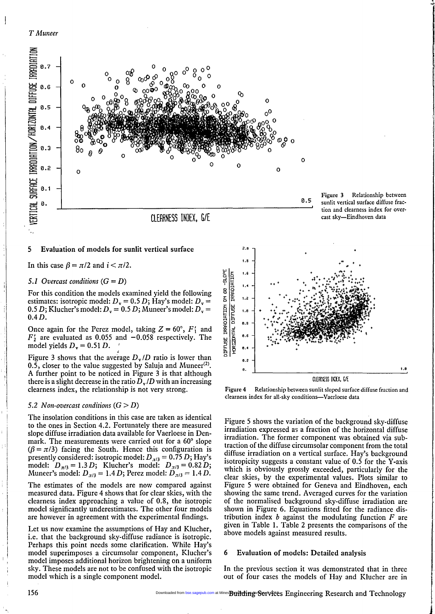



## 5 Evaluation of models for sunlit vertical surface

In this case  $\beta = \pi/2$  and  $i < \pi/2$ .

# 5.1 Overcast conditions  $(G = D)$

For this condition the models examined yield the following estimates: isotropic model:  $D_v = 0.5 D$ ; Hay's model:  $D_v =$ 0.5 D; Klucher's model:  $D_v = 0.5 D$ ; Muneer's model:  $D_v =$ 0.4 D.

Once again for the Perez model, taking  $Z = 60^{\circ}$ ,  $F'_1$  and  $F'_2$  are evaluated as 0.055 and  $-0.058$  respectively. The model yields  $D<sub>v</sub> = 0.51 D$ .

Figure 3 shows that the average  $D_v/D$  ratio is lower than 0.5, closer to the value suggested by Saluja and Muneer<sup>(2)</sup>. A further point to be noticed in Figure 3 is that although there is a slight decrease in the ratio  $D_{\nu}/D$  with an increasing clearness index, the relationship is not very strong.

#### 5.2 Non-overcast conditions  $(G > D)$

The insolation conditions in this case are taken as identical to the ones in Section 4.2. Fortunately there are measured slope diffuse irradiation data available for Vaerloese in Denstope untuse madiation data available for vacriouse in Den<br>mark. The measurements were carried out for a 60° slope<br> $(6 - \pi/3)$  focing the South. Hence this configuration is  $(\beta = \pi/3)$  facing the South. Hence this configuration is<br>presently considered: isotropic model:  $D_{\text{eq}} = 0.75 D_{\text{eq}}$ . presently considered: isotropic model:  $D_{\pi/3} = 0.75 D$ ; Hay'<br>model:  $D_{\pi/3} = 1.3 D_1$ ; Klucher's model:  $D_{\pi/3} = 0.82 D_1$ model:  $D_{\pi/3} = 1.3 D$ ; Klucher's model:  $D_{\pi/3} = 0.82 D$ <br>Muneer's model:  $D_{\pi/3} = 1.4 D$ ; Perez model:  $D_{\pi/3} = 1.4 D$ 

The estimates of the models are now compared against measured data. Figure 4 shows that for clear skies, with the clearness index approaching a value of 0.8, the isotropic model significantly underestimates. The other four models are however in agreement with the experimental findings.

Let us now examine the assumptions of Hay and Klucher, i.e. that the background sky-diffuse radiance is isotropic. Perhaps this point needs some clarification. While Hay's model superimposes a circumsolar component, Klucher's model superimposes a circumsolar component, Klucher's model imposes additional horizon brightening on a uniform sky. These models are not to be confused with the isotropic model which is a single component model.





Figure 4 Relationship between sunlit sloped surface diffuse fraction and clearness index for all-sky conditions-Vaerloese data

Figure 5 shows the variation of the background sky-diffuse irradiation expressed as a fraction of the horizontal diffuse irradiation. The former component was obtained via subtraction of the diffuse circumsolar component from the total diffuse irradiation on a vertical surface. Hay's background isotropicity suggests a constant value of 0.5 for the Y-axis which is obviously grossly exceeded, particularly for the clear skies, by the experimental values. Plots similar to Figure 5 were obtained for Geneva and Eindhoven, each showing the same trend. Averaged curves for the variation of the normalised background sky-diffuse irradiation are shown in Figure 6. Equations fitted for the radiance distribution index  $b$  against the modulating function  $F$  are  $\frac{1}{2}$  diven in Table 1. Table 2 presents the comparisons of the comparisons of the comparisons of the comparisons of the comparisons of the comparisons of the comparisons of the comparisons of the comparisons of the c above models against measured results.

#### 6 Evaluation of models: Detailed analysis

In the previous section it was demonstrated that in three out of four cases the models of Hay and Klucher are in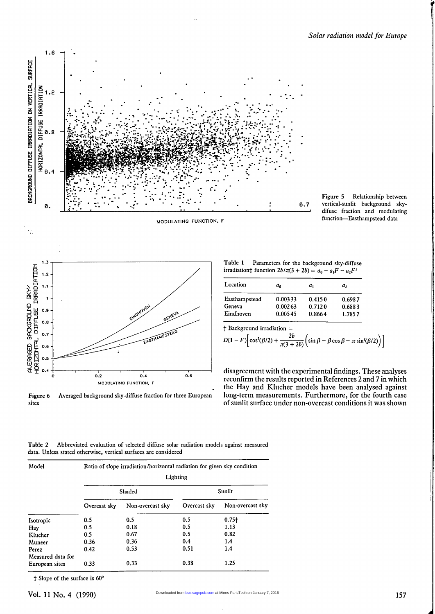





Figure 6 Averaged background sky-diffuse fraction for three European sites

Table 1 Parameters for the background sky-diffuse irradiationt function  $2b/\pi(3 + 2b) = a_0 - a_1F - a_2F^2$ 

| Location      | $a_0$   | $a_{1}$ | a,     |
|---------------|---------|---------|--------|
| Easthampstead | 0.00333 | 0.4150  | 0.6987 |
| Geneva        | 0.00263 | 0.7120  | 0.6883 |
| Eindhoven     | 0.00545 | 0.8664  | 1.7857 |

+ Background irradiation =

$$
D(1 - F)\left[\cos^2(\beta/2) + \frac{2b}{\pi(3 + 2b)}\left(\sin\beta - \beta\cos\beta - \pi\sin^2(\beta/2)\right)\right]
$$

disagreement with the experimental findings. These analyses reconfirm the results reported in References 2 and 7 in which the Hay and Klucher models have been analysed against long-term measurements. Furthermore, for the fourth case of sunlit surface under non-overcast conditions it was shown

Table 2 Abbreviated evaluation of selected diffuse solar radiation models against measured data. Unless stated otherwise, vertical surfaces are considered

| Model                      | Ratio of slope irradiation/horizontal radiation for given sky condition<br>Lighting |                  |              |                  |  |  |
|----------------------------|-------------------------------------------------------------------------------------|------------------|--------------|------------------|--|--|
|                            |                                                                                     | Shaded           | Sunlit       |                  |  |  |
|                            | Overcast sky                                                                        | Non-overcast sky | Overcast sky | Non-overcast sky |  |  |
| Isotropic                  | 0.5                                                                                 | 0.5              | 0.5          | $0.75+$          |  |  |
| Hav                        | 0.5                                                                                 | 0.18             | 0.5          | 1.13             |  |  |
| Klucher                    | 0.5                                                                                 | 0.67             | 0.5          | 0.82             |  |  |
| Muneer                     | 0.36                                                                                | 0.36             | 0.4          | 1.4              |  |  |
| Perez<br>Measured data for | 0.42                                                                                | 0.53             | 0.51         | 1.4              |  |  |
| European sites             | 0.33                                                                                | 0.33             | 0.38         | 1.25             |  |  |

t Slope of the surface is 60°

ł.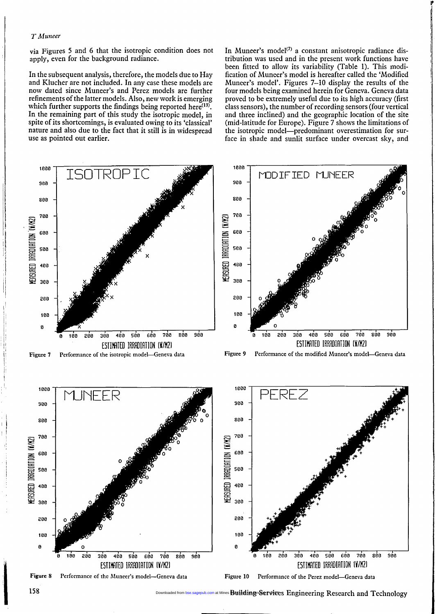#### T Muneer

1000

via Figures 5 and 6 that the isotropic condition does not apply, even for the background radiance.

In the subsequent analysis, therefore, the models due to Hay and Klucher are not included. In any case these models are now dated since Muneer's and Perez models are further refinements of the latter models. Also, new work is emerging which further supports the findings being reported here<sup>(13)</sup>. In the remaining part of this study the isotropic model, in spite of its shortcomings, is evaluated owing to its 'classical' nature and also due to the fact that it still is in widespread use as pointed out earlier.

In Muneer's model<sup>(7)</sup> a constant anisotropic radiance distribution was used and in the present work functions have been fitted to allow its variability (Table 1). This modification of Muneer's model is hereafter called the 'Modified Muneer's model'. Figures 7-10 display the results of the four models being examined herein for Geneva. Geneva data proved to be extremely useful due to its high accuracy (first class sensors), the number of recording sensors (four vertical and three inclined) and the geographic location of the site (mid-latitude for Europe). Figure 7 shows the limitations of the isotropic model-predominant overestimation for surface in shade and sunlit surface under overcast sky, and



1888

wnloaded from [bse.sagepub.com](http://bse.sagepub.com/) at Mines **Building.Services** Engineering Research and Technology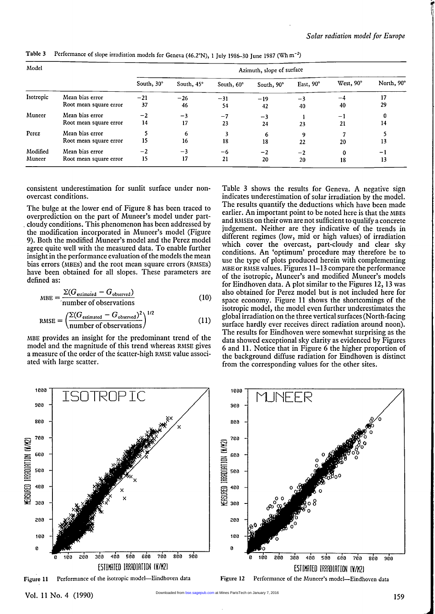| Model     |                        | Azimuth, slope of surface |            |            |            |           |           |            |  |
|-----------|------------------------|---------------------------|------------|------------|------------|-----------|-----------|------------|--|
|           |                        | South, 30°                | South, 45° | South, 60° | South, 90° | East, 90° | West, 90° | North, 90° |  |
| Isotropic | Mean bias error        | $-21$                     | $-26$      | $-31$      | $-19$      | $-3$      | -4        | 17         |  |
|           | Root mean square error | 37                        | 46         | 54         | 42         | 40        | 40        | 29         |  |
| Muneer    | Mean bias error        | $-2$                      | $-3$       | $-7$       | $-3$       |           | -1        | 0          |  |
|           | Root mean square error | 14                        | 17         | 23         | 24         | 23        | 21        | 14         |  |
| Perez     | Mean bias error        |                           | 6          |            | 6          | 9         |           |            |  |
|           | Root mean square error | 15                        | 16         | 18         | 18         | 22        | 20        | 13         |  |
| Modified  | Mean bias error        | $-2$                      | $-3$       | $-6$       | $-2$       | $-2$      | 0         | - 1        |  |
| Muneer    | Root mean square error | 15                        | 17         | 21         | 20         | 20        | 18        | 13         |  |

Table 3 Performance of slope irradiation models for Geneva (46.2°N), 1 July 1986-30 June 1987 (Wh m<sup>-2</sup>)

consistent underestimation for sunlit surface under nonovercast conditions.

The bulge at the lower end of Figure 8 has been traced to overprediction on the part of Muneer's model under part- . cloudy conditions. This phenomenon has been addressed by the modification incorporated in Muneer's model (Figure 9). Both the modified Muneer's model and the Perez model agree quite well with the measured data. To enable further insight in the performance evaluation of the models the mean bias errors (MBES) and the root mean square errors (RAiSES) have been obtained for all slopes. These parameters are defined as:

$$
MBE = \frac{\Sigma(G_{\text{estimated}} - G_{\text{observed}})}{\text{number of observations}}
$$
(10)

RMSE = 
$$
\left(\frac{\Sigma(G_{\text{estimated}} - G_{\text{observed}})^2}{\text{number of observations}}\right)^{1/2}
$$
 (11)

MBH provides an insight for the predominant trend of the model and the magnitude of this trend whereas RAiSE gives a measure of the order of the scatter-high RMSE value associated with large scatter.

Table 3 shows the results for Geneva. A negative sign indicates underestimation of solar irradiation by the model. The results quantify the deductions which have been made earlier. An important point to be noted here is that the MBES and RMSES on their own are not sufficient to qualify a concrete judgement. Neither are they indicative of the trends in different regimes (low, mid or high values) of irradiation which cover the overcast, part-cloudy and clear sky conditions. An 'optimum' procedure may therefore be to use the type of plots produced herein with complementing MBE or RMSE values. Figures 11-13 compare the performance of the isotropic, Muneer's and modified Muneer's models for Eindhoven data. A plot similar to the Figures 12, 13 was also obtained for Perez model but is not included here for space economy. Figure 11 shows the shortcomings of the isotropic model, the model even further underestimates the global irradiation on the three vertical surfaces (North-facing surface hardly ever receives direct radiation around noon). The results for Eindhoven were somewhat surprising as the data showed exceptional sky clarity as evidenced by Figures 6 and 11. Notice that in Figure 6 the higher proportion of the background diffuse radiation for Eindhoven is distinct from the corresponding values for the other sites.



Vol. 11 No. 4 (1990)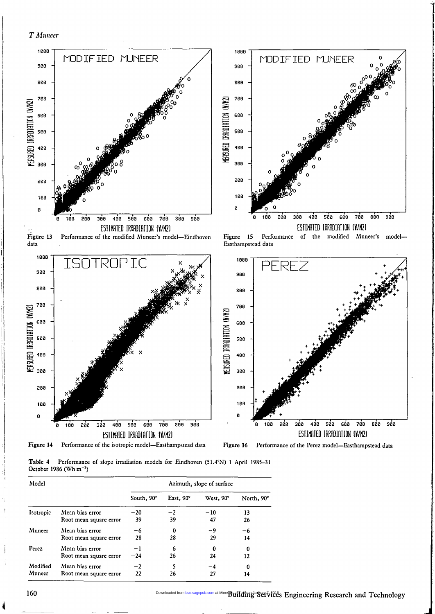T Muneer





Figure 13 Performance of the modified Muneer's model-Eindhoven data

Figure 15 Performance of the modified Muneer's model-Easthampstcad data



Table 4 Performance of slope irradiation models for Eindhoven (51.4°N) 1 April 1985-31 October 1986 (Wh m<sup>-2</sup>)

| Model     |                        | Azimuth, slope of surface |           |           |            |  |  |
|-----------|------------------------|---------------------------|-----------|-----------|------------|--|--|
|           |                        | South, 90°                | East, 90° | West, 90° | North, 90° |  |  |
| Isotropic | Mean bias error        | $-20$                     | $-2$      | $-10$     | 13         |  |  |
|           | Root mean square error | 39                        | 39        | 47        | 26         |  |  |
| Muneer    | Mean hias error        | -6                        | 0         | -9        | -6         |  |  |
|           | Root mean square error | 28                        | 28        | 29        | 14         |  |  |
| Perez     | Mean bias error        | -1                        | 6         | 0         | 0          |  |  |
|           | Root mean square error | $-24$                     | 26        | 24        | 12         |  |  |
| Modified  | Mean bias error        | $-2$                      |           | $-4$      | 0          |  |  |
| Muneer    | Root mean square error | 22                        | 26        | 27        | 14         |  |  |

Downloaded from [bse.sagepub.com](http://bse.sagepub.com/) at Mine Buildinga Services Engineering Research and Technology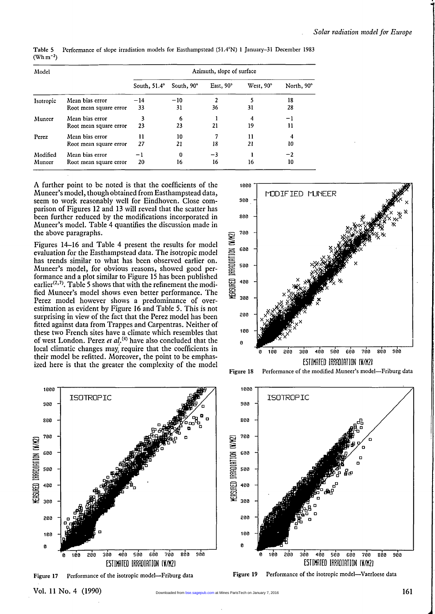| Model     |                        | Azimuth, slope of surface |            |           |           |            |  |  |
|-----------|------------------------|---------------------------|------------|-----------|-----------|------------|--|--|
|           |                        | South, $51.4^\circ$       | South, 90° | East, 90° | West, 90° | North, 90° |  |  |
| Isotropic | Mean bias error        | $-14$                     | $-10$      |           |           | 18         |  |  |
|           | Root mean square error | 33                        | 31         | 36        | 31        | 28         |  |  |
| Muneer    | Mean bias error        |                           | 6          |           | 4         | -1         |  |  |
|           | Root mean square error | 23                        | 23         | 21        | 19        | 11         |  |  |
| Perez     | Mean bias error        | 11                        | 10         |           | 11        | 4          |  |  |
|           | Root mean square error | 27                        | 21         | 18        | 21        | 10         |  |  |
| Modified  | Mean bias error        | -1                        | 0          | $-3$      |           | $^{-2}$    |  |  |
| Muneer    | Root mean square error | 20                        | 16         | 16        | 16        | 10         |  |  |

Table 5 Performance of slope irradiation models for Easthampstead (51.4'N) I January-31 December 1983  $({\rm Wh}\, {\rm m}^{-2})$ 

A further point to be noted is that the coefficients of the Muneer's model, though obtained from Easthampstead data, seem to work reasonably well for Eindhoven. Close comparison of Figures 12 and 13 will reveal that the scatter has been further reduced by the modifications incorporated in Muneer's model. Table 4 quantifies the discussion made in the above paragraphs.

Figures 14-16 and Table 4 present the results for model evaluation for the Easthampstead data. The isotropic model has trends similar to what has been observed earlier on. Muneer's model, for obvious reasons, showed good performance and a plot similar to Figure 15 has been published earlier<sup> $(2,7)$ </sup>. Table 5 shows that with the refinement the modified Muneer's model shows even better performance. The Perez model however shows a predominance of overestimation as evident by Figure 16 and Table 5. This is not surprising in view of the fact that the Perez model has been fitted against data from Trappes and Carpentras. Neither of these two French sites have a climate which resembles the of west London. Perez et  $d^{(4)}$  have also concluded that the local climatic changes may; require that the coefficients in their model be refitted. Moreover, the point to be emphasized here is that the greater the complexity of the model



Figure 18 Performance of the modified Muneer's model-Friburg data



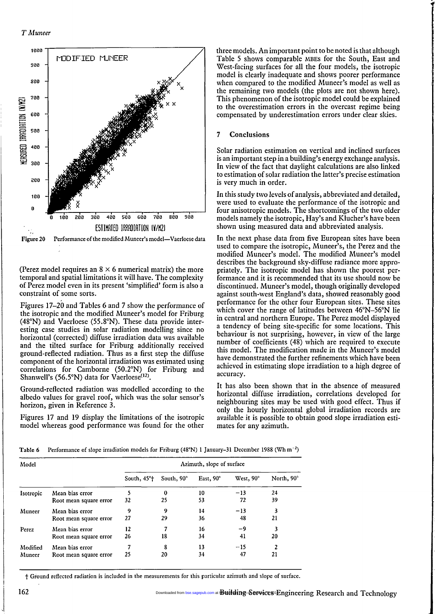

(Perez model requires an  $8 \times 6$  numerical matrix) the more temporal and spatial limitations it will have. The complexity of Perez model even in its present 'simplified' form is also a constraint of some sorts.

Figures 17-20 and Tables 6 and 7 show the performance of the isotropic and the modified Muneer's model for Friburg (48°N) and Vaerloese (55.8°N). These data provide interesting case studies in solar radiation modelling since no horizontal (corrected) diffuse irradiation data was available and the tilted surface for Friburg additionally received ground-reflected radiation. Thus as a first step the diffuse component of the horizontal irradiation was estimated using correlations for Camborne (50.2°N) for Friburg and Shanwell's (56.5°N) data for Vaerloese<sup>(12)</sup>.

Ground-reflected radiation was modelled according to the albedo values for gravel roof, which was the solar sensor's horizon, given in Reference 3.

Figures 17 and 19 display the limitations of the isotropic model whereas good performance was found for the other

three models. An important point to be noted is that although Table 5 shows comparable MBES for the South, East and West-facing surfaces for all the four models, the isotropic model is clearly inadequate and shows poorer performance when compared to the modified Muneer's model as well as the remaining two models (the plots are not shown here). This phenomenon of the isotropic model could be explained to the overestimation errors in the overcast regime being compensated by underestimation errors under clear skies.

# 7 Conclusions

Solar radiation estimation on vertical and inclined surfaces is an important step in a building's energy exchange analysis. In view of the fact that daylight calculations are also linked to estimation of solar radiation the latter's precise estimation is very much in order.

In this study two levels of analysis, abbreviated and detailed, were used to evaluate the performance of the isotropic and four anisotropic models. The shortcomings of the two older models namely the isotropic, Hay's and Klucher's have been shown using measured data and abbreviated analysis.

In the next phase data from five European sites have been used to compare the isotropic, Muneer's, the Perez and the modified Muneer's model. The modified Muneer's model describes the background sky-diffuse radiance more appropriately. The isotropic model has shown the poorest performance and it is recommended that its use should now be discontinued. Muneer's model, though originally developed against south-west England's data, showed reasonably good performance for the other four European sites. These sites which cover the range of latitudes between 46°N-56°N lie in central and northern Europe. The Perez model displayed a tendency of being site-specific for some locations. This behaviour is not surprising, however, in view of the large number of coefficients (48) which are required to execute this model. The modification made in the Muneer's model have demonstrated the further refinements which have been achieved in estimating slope irradiation to a high degree c accuracy.

It has also been shown that in the absence of measured horizontal diffuse irradiation, correlations developed for neighbouring sites may be used with good effect. Thus if only the hourly horizontal global irradiation records are available it is possible to obtain good slope irradiation estimates for any azimuth.

Table 6 Performance of slope irradiation models for Friburg (48°N) 1 January-31 December 1988 (Wh m-2)

| Model     |                        | Azimuth, slope of surface |            |           |           |            |  |  |
|-----------|------------------------|---------------------------|------------|-----------|-----------|------------|--|--|
|           |                        | South, 45 <sup>o</sup> t  | South, 90° | East, 90° | West, 90° | North, 90° |  |  |
| Isotropic | Mean bias error        |                           | $\bf{0}$   | 10        | $-13$     | 24         |  |  |
|           | Root mean square error | 32                        | 25         | 53        | 72        | 39         |  |  |
| Muneer    | Mean bias error        | 9                         | 9          | 14        | $-13$     | 3          |  |  |
|           | Root mean square error | 27                        | 29         | 36        | 48        | 21         |  |  |
| Perez     | Mean bias error        | 12                        |            | 16        | -9        | 3          |  |  |
|           | Root mean square error | 26                        | 18         | 34        | 41        | 20         |  |  |
| Modified  | Mean bias error        | 7                         | 8          | 13        | $-15$     | 2          |  |  |
| Muneer    | Root mean square error | 25                        | 20         | 34        | 47        | 21         |  |  |

t Ground reflected radiation is included in the measurements for this particular azimuth and slope of surface.

Downloaded from [bse.sagepub.com](http://bse.sagepub.com/) at Building Services Engineering Research and Technology